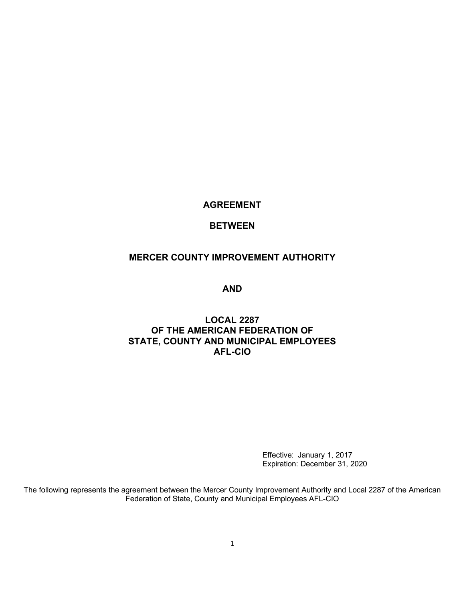# **AGREEMENT**

# **BETWEEN**

# **MERCER COUNTY IMPROVEMENT AUTHORITY**

**AND**

# **LOCAL 2287 OF THE AMERICAN FEDERATION OF STATE, COUNTY AND MUNICIPAL EMPLOYEES AFL-CIO**

Effective: January 1, 2017 Expiration: December 31, 2020

The following represents the agreement between the Mercer County Improvement Authority and Local 2287 of the American Federation of State, County and Municipal Employees AFL-CIO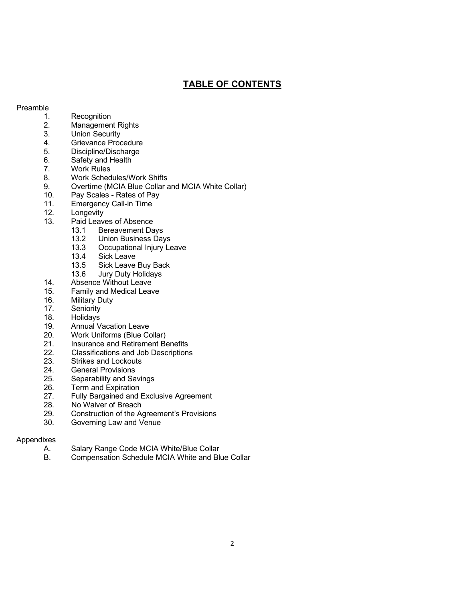# **TABLE OF CONTENTS**

#### Preamble

- 1. Recognition<br>2. Managemen
- Management Rights
- 3. Union Security
- 4. Grievance Procedure
- 5. Discipline/Discharge
- 6. Safety and Health
- 7. Work Rules
- 8. Work Schedules/Work Shifts
- 9. Overtime (MCIA Blue Collar and MCIA White Collar)
- 10. Pay Scales Rates of Pay
- 11. Emergency Call-in Time
- 12. Longevity<br>13. Paid Leav
	- Paid Leaves of Absence
		- 13.1 Bereavement Days
		- 13.2 Union Business Days<br>13.3 Occupational Iniury Le
		- 13.3 Occupational Injury Leave<br>13.4 Sick Leave
		- Sick Leave
		- 13.5 Sick Leave Buy Back
	- 13.6 Jury Duty Holidays
- 14. Absence Without Leave
- 15. Family and Medical Leave
- 16. Military Duty
- 17. Seniority
- 18. Holidays<br>19. Annual V
- **Annual Vacation Leave**
- 20. Work Uniforms (Blue Collar)
- 21. Insurance and Retirement Benefits<br>22. Classifications and Job Descriptions
- Classifications and Job Descriptions
- 23. Strikes and Lockouts
- 24. General Provisions
- 25. Separability and Savings
- 26. Term and Expiration
- 27. Fully Bargained and Exclusive Agreement
- 28. No Waiver of Breach<br>29. Construction of the A
- Construction of the Agreement's Provisions
- 30. Governing Law and Venue

## Appendixes

- A. Salary Range Code MCIA White/Blue Collar<br>B. Compensation Schedule MCIA White and Bl
- Compensation Schedule MCIA White and Blue Collar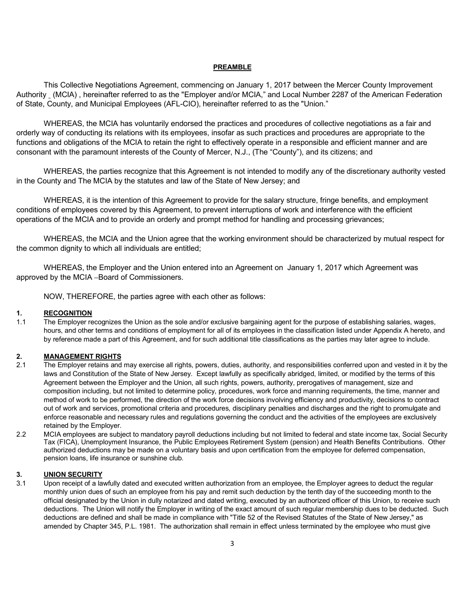#### **PREAMBLE**

This Collective Negotiations Agreement, commencing on January 1, 2017 between the Mercer County Improvement Authority (MCIA) , hereinafter referred to as the "Employer and/or MCIA," and Local Number 2287 of the American Federation of State, County, and Municipal Employees (AFL-CIO), hereinafter referred to as the "Union."

WHEREAS, the MCIA has voluntarily endorsed the practices and procedures of collective negotiations as a fair and orderly way of conducting its relations with its employees, insofar as such practices and procedures are appropriate to the functions and obligations of the MCIA to retain the right to effectively operate in a responsible and efficient manner and are consonant with the paramount interests of the County of Mercer, N.J., (The "County"), and its citizens; and

WHEREAS, the parties recognize that this Agreement is not intended to modify any of the discretionary authority vested in the County and The MCIA by the statutes and law of the State of New Jersey; and

WHEREAS, it is the intention of this Agreement to provide for the salary structure, fringe benefits, and employment conditions of employees covered by this Agreement, to prevent interruptions of work and interference with the efficient operations of the MCIA and to provide an orderly and prompt method for handling and processing grievances;

WHEREAS, the MCIA and the Union agree that the working environment should be characterized by mutual respect for the common dignity to which all individuals are entitled;

WHEREAS, the Employer and the Union entered into an Agreement on January 1, 2017 which Agreement was approved by the MCIA - Board of Commissioners.

NOW, THEREFORE, the parties agree with each other as follows:

#### **1. RECOGNITION**

1.1 The Employer recognizes the Union as the sole and/or exclusive bargaining agent for the purpose of establishing salaries, wages, hours, and other terms and conditions of employment for all of its employees in the classification listed under Appendix A hereto, and by reference made a part of this Agreement, and for such additional title classifications as the parties may later agree to include.

## **2. MANAGEMENT RIGHTS**

- 2.1 The Employer retains and may exercise all rights, powers, duties, authority, and responsibilities conferred upon and vested in it by the laws and Constitution of the State of New Jersey. Except lawfully as specifically abridged, limited, or modified by the terms of this Agreement between the Employer and the Union, all such rights, powers, authority, prerogatives of management, size and composition including, but not limited to determine policy, procedures, work force and manning requirements, the time, manner and method of work to be performed, the direction of the work force decisions involving efficiency and productivity, decisions to contract out of work and services, promotional criteria and procedures, disciplinary penalties and discharges and the right to promulgate and enforce reasonable and necessary rules and regulations governing the conduct and the activities of the employees are exclusively retained by the Employer.
- 2.2 MCIA employees are subject to mandatory payroll deductions including but not limited to federal and state income tax, Social Security Tax (FICA), Unemployment Insurance, the Public Employees Retirement System (pension) and Health Benefits Contributions. Other authorized deductions may be made on a voluntary basis and upon certification from the employee for deferred compensation, pension loans, life insurance or sunshine club.

#### **3. UNION SECURITY**

3.1 Upon receipt of a lawfully dated and executed written authorization from an employee, the Employer agrees to deduct the regular monthly union dues of such an employee from his pay and remit such deduction by the tenth day of the succeeding month to the official designated by the Union in dully notarized and dated writing, executed by an authorized officer of this Union, to receive such deductions. The Union will notify the Employer in writing of the exact amount of such regular membership dues to be deducted. Such deductions are defined and shall be made in compliance with "Title 52 of the Revised Statutes of the State of New Jersey," as amended by Chapter 345, P.L. 1981. The authorization shall remain in effect unless terminated by the employee who must give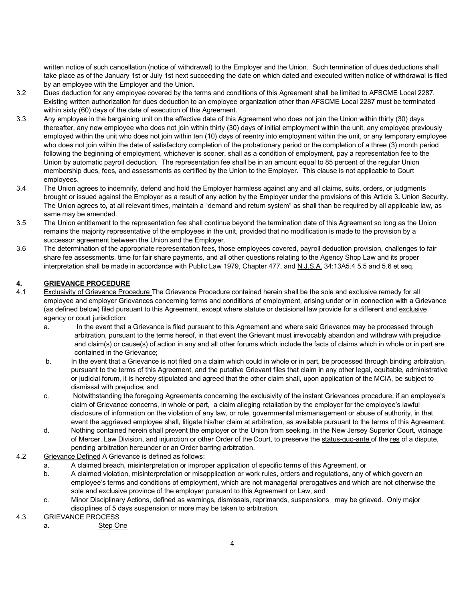written notice of such cancellation (notice of withdrawal) to the Employer and the Union. Such termination of dues deductions shall take place as of the January 1st or July 1st next succeeding the date on which dated and executed written notice of withdrawal is filed by an employee with the Employer and the Union.

- 3.2 Dues deduction for any employee covered by the terms and conditions of this Agreement shall be limited to AFSCME Local 2287. Existing written authorization for dues deduction to an employee organization other than AFSCME Local 2287 must be terminated within sixty (60) days of the date of execution of this Agreement.
- 3.3 Any employee in the bargaining unit on the effective date of this Agreement who does not join the Union within thirty (30) days thereafter, any new employee who does not join within thirty (30) days of initial employment within the unit, any employee previously employed within the unit who does not join within ten (10) days of reentry into employment within the unit, or any temporary employee who does not join within the date of satisfactory completion of the probationary period or the completion of a three (3) month period following the beginning of employment, whichever is sooner, shall as a condition of employment, pay a representation fee to the Union by automatic payroll deduction. The representation fee shall be in an amount equal to 85 percent of the regular Union membership dues, fees, and assessments as certified by the Union to the Employer. This clause is not applicable to Court employees.
- 3.4 The Union agrees to indemnify, defend and hold the Employer harmless against any and all claims, suits, orders, or judgments brought or issued against the Employer as a result of any action by the Employer under the provisions of this Article 3**.** Union Security. The Union agrees to, at all relevant times, maintain a "demand and return system" as shall than be required by all applicable law, as same may be amended.
- 3.5 The Union entitlement to the representation fee shall continue beyond the termination date of this Agreement so long as the Union remains the majority representative of the employees in the unit, provided that no modification is made to the provision by a successor agreement between the Union and the Employer.
- 3.6 The determination of the appropriate representation fees, those employees covered, payroll deduction provision, challenges to fair share fee assessments, time for fair share payments, and all other questions relating to the Agency Shop Law and its proper interpretation shall be made in accordance with Public Law 1979, Chapter 477, and N.J.S.A. 34:13A5.4 5.5 and 5.6 et seq.

# **4. GRIEVANCE PROCEDURE**

- 4.1 Exclusivity of Grievance Procedure The Grievance Procedure contained herein shall be the sole and exclusive remedy for all employee and employer Grievances concerning terms and conditions of employment, arising under or in connection with a Grievance (as defined below) filed pursuant to this Agreement, except where statute or decisional law provide for a different and exclusive agency or court jurisdiction:
	- a. In the event that a Grievance is filed pursuant to this Agreement and where said Grievance may be processed through arbitration, pursuant to the terms hereof, in that event the Grievant must irrevocably abandon and withdraw with prejudice and claim(s) or cause(s) of action in any and all other forums which include the facts of claims which in whole or in part are contained in the Grievance;
	- b. In the event that a Grievance is not filed on a claim which could in whole or in part, be processed through binding arbitration, pursuant to the terms of this Agreement, and the putative Grievant files that claim in any other legal, equitable, administrative or judicial forum, it is hereby stipulated and agreed that the other claim shall, upon application of the MCIA, be subject to dismissal with prejudice; and
	- c. Notwithstanding the foregoing Agreements concerning the exclusivity of the instant Grievances procedure, if an employee's claim of Grievance concerns, in whole or part, a claim alleging retaliation by the employer for the employee's lawful disclosure of information on the violation of any law, or rule, governmental mismanagement or abuse of authority, in that event the aggrieved employee shall, litigate his/her claim at arbitration, as available pursuant to the terms of this Agreement.
	- d. Nothing contained herein shall prevent the employer or the Union from seeking, in the New Jersey Superior Court, vicinage of Mercer, Law Division, and injunction or other Order of the Court, to preserve the status-quo-ante of the res of a dispute, pending arbitration hereunder or an Order barring arbitration.
- 4.2 Grievance Defined A Grievance is defined as follows:
	- a. A claimed breach, misinterpretation or improper application of specific terms of this Agreement, or
	- b. A claimed violation, misinterpretation or misapplication or work rules, orders and regulations, any of which govern an employee's terms and conditions of employment, which are not managerial prerogatives and which are not otherwise the sole and exclusive province of the employer pursuant to this Agreement or Law, and
	- c. Minor Disciplinary Actions, defined as warnings, dismissals, reprimands, suspensions may be grieved. Only major disciplines of 5 days suspension or more may be taken to arbitration.

## 4.3 GRIEVANCE PROCESS

a. Step One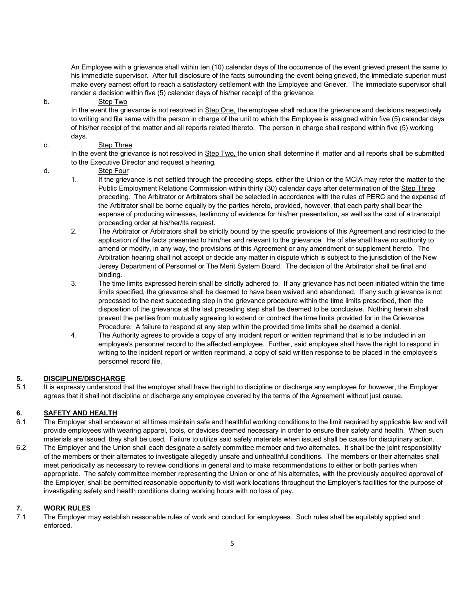An Employee with a grievance shall within ten (10) calendar days of the occurrence of the event grieved present the same to his immediate supervisor. After full disclosure of the facts surrounding the event being grieved, the immediate superior must make every earnest effort to reach a satisfactory settlement with the Employee and Griever. The immediate supervisor shall render a decision within five (5) calendar days of his/her receipt of the grievance.

#### b. Step Two

In the event the grievance is not resolved in Step One, the employee shall reduce the grievance and decisions respectively to writing and file same with the person in charge of the unit to which the Employee is assigned within five (5) calendar days of his/her receipt of the matter and all reports related thereto. The person in charge shall respond within five (5) working days.

#### c. Step Three

In the event the grievance is not resolved in Step Two, the union shall determine if matter and all reports shall be submitted to the Executive Director and request a hearing.

- d. Step Four
	- 1. If the grievance is not settled through the preceding steps, either the Union or the MCIA may refer the matter to the Public Employment Relations Commission within thirty (30) calendar days after determination of the Step Three preceding. The Arbitrator or Arbitrators shall be selected in accordance with the rules of PERC and the expense of the Arbitrator shall be borne equally by the parties hereto, provided, however, that each party shall bear the expense of producing witnesses, testimony of evidence for his/her presentation, as well as the cost of a transcript proceeding order at his/her/its request.
	- 2. The Arbitrator or Arbitrators shall be strictly bound by the specific provisions of this Agreement and restricted to the application of the facts presented to him/her and relevant to the grievance. He of she shall have no authority to amend or modify, in any way, the provisions of this Agreement or any amendment or supplement hereto. The Arbitration hearing shall not accept or decide any matter in dispute which is subject to the jurisdiction of the New Jersey Department of Personnel or The Merit System Board. The decision of the Arbitrator shall be final and binding.
	- 3. The time limits expressed herein shall be strictly adhered to. If any grievance has not been initiated within the time limits specified, the grievance shall be deemed to have been waived and abandoned. If any such grievance is not processed to the next succeeding step in the grievance procedure within the time limits prescribed, then the disposition of the grievance at the last preceding step shall be deemed to be conclusive. Nothing herein shall prevent the parties from mutually agreeing to extend or contract the time limits provided for in the Grievance Procedure. A failure to respond at any step within the provided time limits shall be deemed a denial.
	- 4. The Authority agrees to provide a copy of any incident report or written reprimand that is to be included in an employee's personnel record to the affected employee. Further, said employee shall have the right to respond in writing to the incident report or written reprimand, a copy of said written response to be placed in the employee's personnel record file.

## **5. DISCIPLINE/DISCHARGE**

5.1 It is expressly understood that the employer shall have the right to discipline or discharge any employee for however, the Employer agrees that it shall not discipline or discharge any employee covered by the terms of the Agreement without just cause.

#### **6. SAFETY AND HEALTH**

- 6.1 The Employer shall endeavor at all times maintain safe and healthful working conditions to the limit required by applicable law and will provide employees with wearing apparel, tools, or devices deemed necessary in order to ensure their safety and health. When such materials are issued, they shall be used. Failure to utilize said safety materials when issued shall be cause for disciplinary action.
- 6.2 The Employer and the Union shall each designate a safety committee member and two alternates. It shall be the joint responsibility of the members or their alternates to investigate allegedly unsafe and unhealthful conditions. The members or their alternates shall meet periodically as necessary to review conditions in general and to make recommendations to either or both parties when appropriate. The safety committee member representing the Union or one of his alternates, with the previously acquired approval of the Employer, shall be permitted reasonable opportunity to visit work locations throughout the Employer's facilities for the purpose of investigating safety and health conditions during working hours with no loss of pay.

# **7. WORK RULES**

7.1 The Employer may establish reasonable rules of work and conduct for employees. Such rules shall be equitably applied and enforced.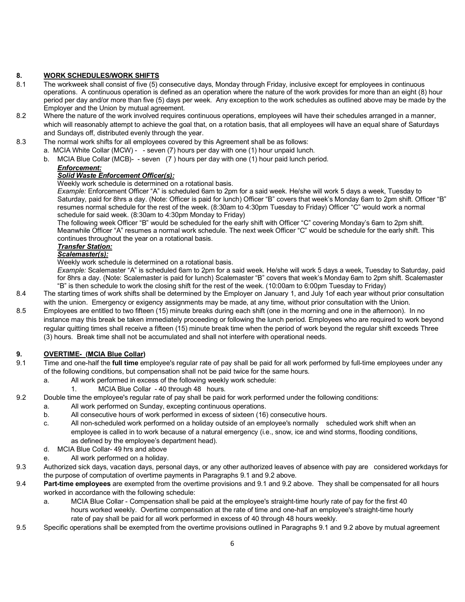# **8. WORK SCHEDULES/WORK SHIFTS**

- 8.1 The workweek shall consist of five (5) consecutive days, Monday through Friday, inclusive except for employees in continuous operations. A continuous operation is defined as an operation where the nature of the work provides for more than an eight (8) hour period per day and/or more than five (5) days per week. Any exception to the work schedules as outlined above may be made by the Employer and the Union by mutual agreement.
- 8.2 Where the nature of the work involved requires continuous operations, employees will have their schedules arranged in a manner, which will reasonably attempt to achieve the goal that, on a rotation basis, that all employees will have an equal share of Saturdays and Sundays off, distributed evenly through the year.
- 8.3 The normal work shifts for all employees covered by this Agreement shall be as follows:
	- a. MCIA White Collar (MCW) - seven (7) hours per day with one (1) hour unpaid lunch.
	- b. MCIA Blue Collar (MCB)- seven (7 ) hours per day with one (1) hour paid lunch period.

# *Enforcement:*

## *Solid Waste Enforcement Officer(s):*

Weekly work schedule is determined on a rotational basis.

*Example:* Enforcement Officer "A" is scheduled 6am to 2pm for a said week. He/she will work 5 days a week, Tuesday to Saturday, paid for 8hrs a day. (Note: Officer is paid for lunch) Officer "B" covers that week's Monday 6am to 2pm shift. Officer "B" resumes normal schedule for the rest of the week. (8:30am to 4:30pm Tuesday to Friday) Officer "C" would work a normal schedule for said week. (8:30am to 4:30pm Monday to Friday)

The following week Officer "B" would be scheduled for the early shift with Officer "C" covering Monday's 6am to 2pm shift. Meanwhile Officer "A" resumes a normal work schedule. The next week Officer "C" would be schedule for the early shift. This continues throughout the year on a rotational basis.

# *Transfer Station:*

# *Scalemaster(s):*

Weekly work schedule is determined on a rotational basis.

*Example:* Scalemaster "A" is scheduled 6am to 2pm for a said week. He/she will work 5 days a week, Tuesday to Saturday, paid for 8hrs a day. (Note: Scalemaster is paid for lunch) Scalemaster "B" covers that week's Monday 6am to 2pm shift. Scalemaster "B" is then schedule to work the closing shift for the rest of the week. (10:00am to 6:00pm Tuesday to Friday)

8.4 The starting times of work shifts shall be determined by the Employer on January 1, and July 1of each year without prior consultation with the union. Emergency or exigency assignments may be made, at any time, without prior consultation with the Union.

8.5 Employees are entitled to two fifteen (15) minute breaks during each shift (one in the morning and one in the afternoon). In no instance may this break be taken immediately proceeding or following the lunch period. Employees who are required to work beyond regular quitting times shall receive a fifteen (15) minute break time when the period of work beyond the regular shift exceeds Three (3) hours. Break time shall not be accumulated and shall not interfere with operational needs.

## **9. OVERTIME- (MCIA Blue Collar)**

- 9.1 Time and one-half the **full time** employee's regular rate of pay shall be paid for all work performed by full-time employees under any of the following conditions, but compensation shall not be paid twice for the same hours.
	- a. All work performed in excess of the following weekly work schedule:
		- 1. MCIA Blue Collar 40 through 48 hours.

9.2 Double time the employee's regular rate of pay shall be paid for work performed under the following conditions:

- a. All work performed on Sunday, excepting continuous operations.
	- b. All consecutive hours of work performed in excess of sixteen (16) consecutive hours.
	- c. All non-scheduled work performed on a holiday outside of an employee's normally scheduled work shift when an employee is called in to work because of a natural emergency (i.e., snow, ice and wind storms, flooding conditions, as defined by the employee's department head).
	- d. MCIA Blue Collar- 49 hrs and above
	- e. All work performed on a holiday.
- 9.3 Authorized sick days, vacation days, personal days, or any other authorized leaves of absence with pay are considered workdays for the purpose of computation of overtime payments in Paragraphs 9.1 and 9.2 above.
- 9.4 **Part-time employees** are exempted from the overtime provisions and 9.1 and 9.2 above. They shall be compensated for all hours worked in accordance with the following schedule:
	- a. MCIA Blue Collar Compensation shall be paid at the employee's straight-time hourly rate of pay for the first 40 hours worked weekly. Overtime compensation at the rate of time and one-half an employee's straight-time hourly rate of pay shall be paid for all work performed in excess of 40 through 48 hours weekly.
- 9.5 Specific operations shall be exempted from the overtime provisions outlined in Paragraphs 9.1 and 9.2 above by mutual agreement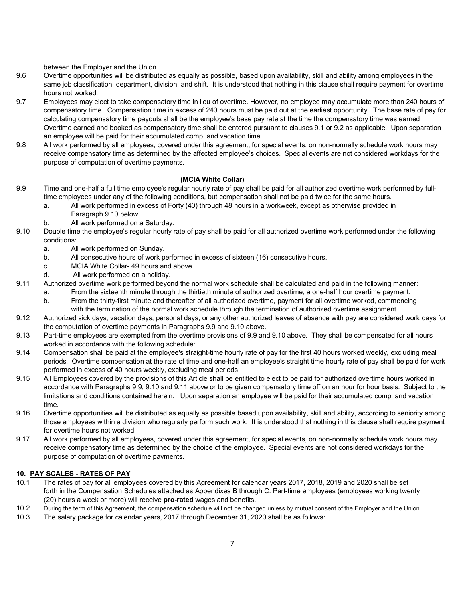between the Employer and the Union.

- 9.6 Overtime opportunities will be distributed as equally as possible, based upon availability, skill and ability among employees in the same job classification, department, division, and shift. It is understood that nothing in this clause shall require payment for overtime hours not worked.
- 9.7 Employees may elect to take compensatory time in lieu of overtime. However, no employee may accumulate more than 240 hours of compensatory time. Compensation time in excess of 240 hours must be paid out at the earliest opportunity. The base rate of pay for calculating compensatory time payouts shall be the employee's base pay rate at the time the compensatory time was earned. Overtime earned and booked as compensatory time shall be entered pursuant to clauses 9.1 or 9.2 as applicable. Upon separation an employee will be paid for their accumulated comp. and vacation time.
- 9.8 All work performed by all employees, covered under this agreement, for special events, on non-normally schedule work hours may receive compensatory time as determined by the affected employee's choices. Special events are not considered workdays for the purpose of computation of overtime payments.

#### **(MCIA White Collar)**

- 9.9 Time and one-half a full time employee's regular hourly rate of pay shall be paid for all authorized overtime work performed by fulltime employees under any of the following conditions, but compensation shall not be paid twice for the same hours.
	- a. All work performed in excess of Forty (40) through 48 hours in a workweek, except as otherwise provided in Paragraph 9.10 below.
	- b. All work performed on a Saturday.
- 9.10 Double time the employee's regular hourly rate of pay shall be paid for all authorized overtime work performed under the following conditions:
	- a. All work performed on Sunday.
	- b. All consecutive hours of work performed in excess of sixteen (16) consecutive hours.
	- c. MCIA White Collar- 49 hours and above
	- d. All work performed on a holiday.
- 9.11 Authorized overtime work performed beyond the normal work schedule shall be calculated and paid in the following manner:
	- a. From the sixteenth minute through the thirtieth minute of authorized overtime, a one-half hour overtime payment.
	- b. From the thirty-first minute and thereafter of all authorized overtime, payment for all overtime worked, commencing with the termination of the normal work schedule through the termination of authorized overtime assignment.
- 9.12 Authorized sick days, vacation days, personal days, or any other authorized leaves of absence with pay are considered work days for the computation of overtime payments in Paragraphs 9.9 and 9.10 above.
- 9.13 Part-time employees are exempted from the overtime provisions of 9.9 and 9.10 above. They shall be compensated for all hours worked in accordance with the following schedule:
- 9.14 Compensation shall be paid at the employee's straight-time hourly rate of pay for the first 40 hours worked weekly, excluding meal periods. Overtime compensation at the rate of time and one-half an employee's straight time hourly rate of pay shall be paid for work performed in excess of 40 hours weekly, excluding meal periods.
- 9.15 All Employees covered by the provisions of this Article shall be entitled to elect to be paid for authorized overtime hours worked in accordance with Paragraphs 9.9, 9.10 and 9.11 above or to be given compensatory time off on an hour for hour basis. Subject to the limitations and conditions contained herein. Upon separation an employee will be paid for their accumulated comp. and vacation time.
- 9.16 Overtime opportunities will be distributed as equally as possible based upon availability, skill and ability, according to seniority among those employees within a division who regularly perform such work. It is understood that nothing in this clause shall require payment for overtime hours not worked.
- 9.17 All work performed by all employees, covered under this agreement, for special events, on non-normally schedule work hours may receive compensatory time as determined by the choice of the employee. Special events are not considered workdays for the purpose of computation of overtime payments.

#### **10. PAY SCALES - RATES OF PAY**

- 10.1 The rates of pay for all employees covered by this Agreement for calendar years 2017, 2018, 2019 and 2020 shall be set forth in the Compensation Schedules attached as Appendixes B through C. Part-time employees (employees working twenty (20) hours a week or more) will receive **pro-rated** wages and benefits.
- 10.2 During the term of this Agreement, the compensation schedule will not be changed unless by mutual consent of the Employer and the Union.
- 10.3 The salary package for calendar years, 2017 through December 31, 2020 shall be as follows: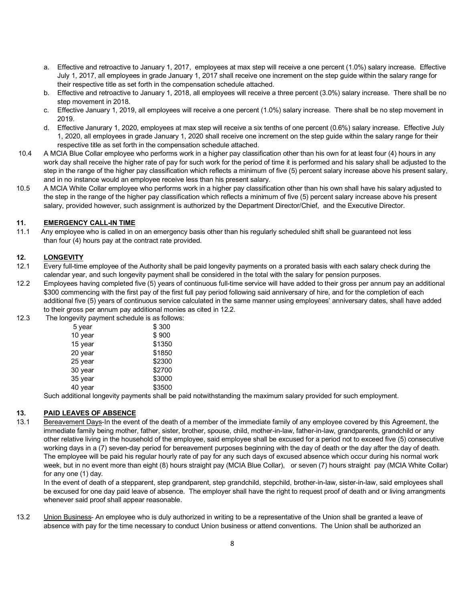- a. Effective and retroactive to January 1, 2017, employees at max step will receive a one percent (1.0%) salary increase. Effective July 1, 2017, all employees in grade January 1, 2017 shall receive one increment on the step guide within the salary range for their respective title as set forth in the compensation schedule attached.
- b. Effective and retroactive to January 1, 2018, all employees will receive a three percent (3.0%) salary increase. There shall be no step movement in 2018.
- c. Effective January 1, 2019, all employees will receive a one percent (1.0%) salary increase. There shall be no step movement in 2019.
- d. Effective Janurary 1, 2020, employees at max step will receive a six tenths of one percent (0.6%) salary increase. Effective July 1, 2020, all employees in grade January 1, 2020 shall receive one increment on the step guide within the salary range for their respective title as set forth in the compensation schedule attached.
- 10.4 A MCIA Blue Collar employee who performs work in a higher pay classification other than his own for at least four (4) hours in any work day shall receive the higher rate of pay for such work for the period of time it is performed and his salary shall be adjusted to the step in the range of the higher pay classification which reflects a minimum of five (5) percent salary increase above his present salary, and in no instance would an employee receive less than his present salary.
- 10.5 A MCIA White Collar employee who performs work in a higher pay classification other than his own shall have his salary adjusted to the step in the range of the higher pay classification which reflects a minimum of five (5) percent salary increase above his present salary, provided however, such assignment is authorized by the Department Director/Chief, and the Executive Director.

#### **11. EMERGENCY CALL-IN TIME**

11.1 Any employee who is called in on an emergency basis other than his regularly scheduled shift shall be guaranteed not less than four (4) hours pay at the contract rate provided.

#### **12. LONGEVITY**

- 12.1 Every full-time employee of the Authority shall be paid longevity payments on a prorated basis with each salary check during the calendar year, and such longevity payment shall be considered in the total with the salary for pension purposes.
- 12.2 Employees having completed five (5) years of continuous full-time service will have added to their gross per annum pay an additional \$300 commencing with the first pay of the first full pay period following said anniversary of hire, and for the completion of each additional five (5) years of continuous service calculated in the same manner using employees' anniversary dates, shall have added to their gross per annum pay additional monies as cited in 12.2.
- 12.3 The longevity payment schedule is as follows:

| 5 year  | \$300  |
|---------|--------|
| 10 year | \$900  |
| 15 year | \$1350 |
| 20 year | \$1850 |
| 25 year | \$2300 |
| 30 year | \$2700 |
| 35 year | \$3000 |
| 40 year | \$3500 |
|         |        |

Such additional longevity payments shall be paid notwithstanding the maximum salary provided for such employment.

## **13. PAID LEAVES OF ABSENCE**

13.1 Bereavement Days-In the event of the death of a member of the immediate family of any employee covered by this Agreement, the immediate family being mother, father, sister, brother, spouse, child, mother-in-law, father-in-law, grandparents, grandchild or any other relative living in the household of the employee, said employee shall be excused for a period not to exceed five (5) consecutive working days in a (7) seven-day period for bereavement purposes beginning with the day of death or the day after the day of death. The employee will be paid his regular hourly rate of pay for any such days of excused absence which occur during his normal work week, but in no event more than eight (8) hours straight pay (MCIA Blue Collar), or seven (7) hours straight pay (MCIA White Collar) for any one (1) day.

In the event of death of a stepparent, step grandparent, step grandchild, stepchild, brother-in-law, sister-in-law, said employees shall be excused for one day paid leave of absence. The employer shall have the right to request proof of death and or living arrangments whenever said proof shall appear reasonable.

13.2 Union Business- An employee who is duly authorized in writing to be a representative of the Union shall be granted a leave of absence with pay for the time necessary to conduct Union business or attend conventions. The Union shall be authorized an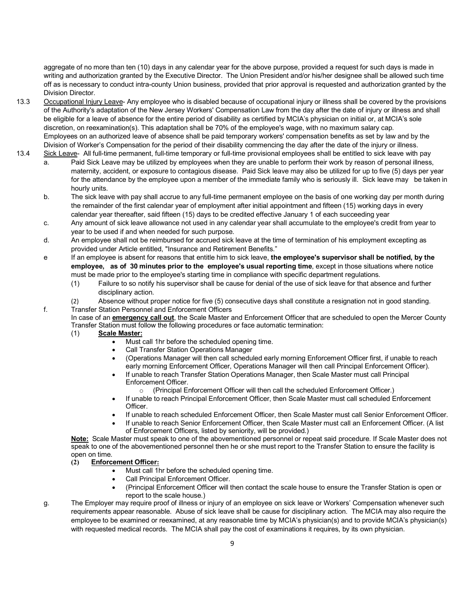aggregate of no more than ten (10) days in any calendar year for the above purpose, provided a request for such days is made in writing and authorization granted by the Executive Director. The Union President and/or his/her designee shall be allowed such time off as is necessary to conduct intra-county Union business, provided that prior approval is requested and authorization granted by the Division Director.

- 13.3 Occupational Injury Leave- Any employee who is disabled because of occupational injury or illness shall be covered by the provisions of the Authority's adaptation of the New Jersey Workers' Compensation Law from the day after the date of injury or illness and shall be eligible for a leave of absence for the entire period of disability as certified by MCIA's physician on initial or, at MCIA's sole discretion, on reexamination(s). This adaptation shall be 70% of the employee's wage, with no maximum salary cap. Employees on an authorized leave of absence shall be paid temporary workers' compensation benefits as set by law and by the Division of Worker's Compensation for the period of their disability commencing the day after the date of the injury or illness. 13.4Sick Leave- All full-time permanent, full-time temporary or full-time provisional employees shall be entitled to sick leave with pay
	- a. Paid Sick Leave may be utilized by employees when they are unable to perform their work by reason of personal illness, maternity, accident, or exposure to contagious disease. Paid Sick leave may also be utilized for up to five (5) days per year for the attendance by the employee upon a member of the immediate family who is seriously ill. Sick leave may be taken in hourly units.
		- b. The sick leave with pay shall accrue to any full-time permanent employee on the basis of one working day per month during the remainder of the first calendar year of employment after initial appointment and fifteen (15) working days in every calendar year thereafter, said fifteen (15) days to be credited effective January 1 of each succeeding year
		- c. Any amount of sick leave allowance not used in any calendar year shall accumulate to the employee's credit from year to year to be used if and when needed for such purpose.
		- d. An employee shall not be reimbursed for accrued sick leave at the time of termination of his employment excepting as provided under Article entitled, "Insurance and Retirement Benefits."
		- e If an employee is absent for reasons that entitle him to sick leave, **the employee's supervisor shall be notified, by the employee, as of 30 minutes prior to the employee's usual reporting time**, except in those situations where notice must be made prior to the employee's starting time in compliance with specific department regulations.
			- (1) Failure to so notify his supervisor shall be cause for denial of the use of sick leave for that absence and further disciplinary action.
		- (2) Absence without proper notice for five (5) consecutive days shall constitute a resignation not in good standing. f. Transfer Station Personnel and Enforcement Officers
			- In case of an **emergency call out**, the Scale Master and Enforcement Officer that are scheduled to open the Mercer County Transfer Station must follow the following procedures or face automatic termination:
				- (1) **Scale Master:**
					- Must call 1hr before the scheduled opening time.
					- Call Transfer Station Operations Manager
					- (Operations Manager will then call scheduled early morning Enforcement Officer first, if unable to reach early morning Enforcement Officer, Operations Manager will then call Principal Enforcement Officer).
					- If unable to reach Transfer Station Operations Manager, then Scale Master must call Principal Enforcement Officer.
						- o (Principal Enforcement Officer will then call the scheduled Enforcement Officer.)
					- If unable to reach Principal Enforcement Officer, then Scale Master must call scheduled Enforcement Officer.
					- If unable to reach scheduled Enforcement Officer, then Scale Master must call Senior Enforcement Officer.
					- If unable to reach Senior Enforcement Officer, then Scale Master must call an Enforcement Officer. (A list of Enforcement Officers, listed by seniority, will be provided.)

**Note:** Scale Master must speak to one of the abovementioned personnel or repeat said procedure. If Scale Master does not speak to one of the abovementioned personnel then he or she must report to the Transfer Station to ensure the facility is open on time.

## **(2) Enforcement Officer:**

- Must call 1hr before the scheduled opening time.
- Call Principal Enforcement Officer.
- (Principal Enforcement Officer will then contact the scale house to ensure the Transfer Station is open or report to the scale house.)
- g. The Employer may require proof of illness or injury of an employee on sick leave or Workers' Compensation whenever such requirements appear reasonable. Abuse of sick leave shall be cause for disciplinary action. The MCIA may also require the employee to be examined or reexamined, at any reasonable time by MCIA's physician(s) and to provide MCIA's physician(s) with requested medical records. The MCIA shall pay the cost of examinations it requires, by its own physician.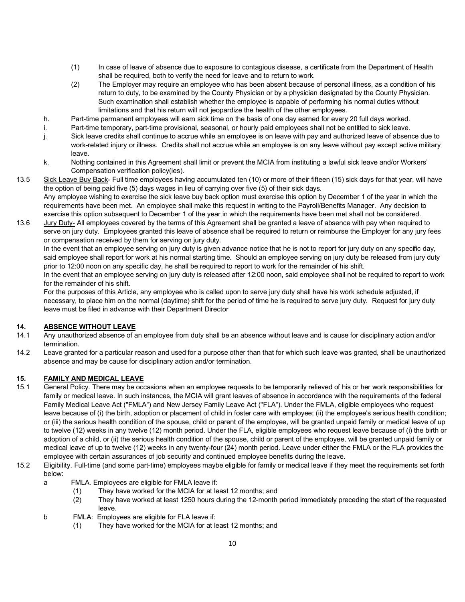- (1) In case of leave of absence due to exposure to contagious disease, a certificate from the Department of Health shall be required, both to verify the need for leave and to return to work.
- (2) The Employer may require an employee who has been absent because of personal illness, as a condition of his return to duty, to be examined by the County Physician or by a physician designated by the County Physician. Such examination shall establish whether the employee is capable of performing his normal duties without limitations and that his return will not jeopardize the health of the other employees.
- h. Part-time permanent employees will earn sick time on the basis of one day earned for every 20 full days worked.
- i. Part-time temporary, part-time provisional, seasonal, or hourly paid employees shall not be entitled to sick leave.
- j. Sick leave credits shall continue to accrue while an employee is on leave with pay and authorized leave of absence due to work-related injury or illness. Credits shall not accrue while an employee is on any leave without pay except active military leave.
- k. Nothing contained in this Agreement shall limit or prevent the MCIA from instituting a lawful sick leave and/or Workers' Compensation verification policy(ies).
- 13.5 Sick Leave Buy Back- Full time employees having accumulated ten (10) or more of their fifteen (15) sick days for that year, will have the option of being paid five (5) days wages in lieu of carrying over five (5) of their sick days. Any employee wishing to exercise the sick leave buy back option must exercise this option by December 1 of the year in which the requirements have been met. An employee shall make this request in writing to the Payroll/Benefits Manager. Any decision to exercise this option subsequent to December 1 of the year in which the requirements have been met shall not be considered.
- 13.6 Jury Duty- All employees covered by the terms of this Agreement shall be granted a leave of absence with pay when required to serve on jury duty. Employees granted this leave of absence shall be required to return or reimburse the Employer for any jury fees or compensation received by them for serving on jury duty.

In the event that an employee serving on jury duty is given advance notice that he is not to report for jury duty on any specific day, said employee shall report for work at his normal starting time. Should an employee serving on jury duty be released from jury duty prior to 12:00 noon on any specific day, he shall be required to report to work for the remainder of his shift.

In the event that an employee serving on jury duty is released after 12:00 noon, said employee shall not be required to report to work for the remainder of his shift.

For the purposes of this Article, any employee who is called upon to serve jury duty shall have his work schedule adjusted, if necessary, to place him on the normal (daytime) shift for the period of time he is required to serve jury duty. Request for jury duty leave must be filed in advance with their Department Director

## **14. ABSENCE WITHOUT LEAVE**

- 14.1 Any unauthorized absence of an employee from duty shall be an absence without leave and is cause for disciplinary action and/or termination.
- 14.2 Leave granted for a particular reason and used for a purpose other than that for which such leave was granted, shall be unauthorized absence and may be cause for disciplinary action and/or termination.

## **15. FAMILY AND MEDICAL LEAVE**

- 15.1 General Policy. There may be occasions when an employee requests to be temporarily relieved of his or her work responsibilities for family or medical leave. In such instances, the MCIA will grant leaves of absence in accordance with the requirements of the federal Family Medical Leave Act ("FMLA") and New Jersey Family Leave Act ("FLA"). Under the FMLA, eligible employees who request leave because of (i) the birth, adoption or placement of child in foster care with employee; (ii) the employee's serious health condition; or (iii) the serious health condition of the spouse, child or parent of the employee, will be granted unpaid family or medical leave of up to twelve (12) weeks in any twelve (12) month period. Under the FLA, eligible employees who request leave because of (i) the birth or adoption of a child, or (ii) the serious health condition of the spouse, child or parent of the employee, will be granted unpaid family or medical leave of up to twelve (12) weeks in any twenty-four (24) month period. Leave under either the FMLA or the FLA provides the employee with certain assurances of job security and continued employee benefits during the leave.
- 15.2 Eligibility. Full-time (and some part-time) employees maybe eligible for family or medical leave if they meet the requirements set forth below:
	- a FMLA. Employees are eligible for FMLA leave if:
		- (1) They have worked for the MCIA for at least 12 months; and
		- (2) They have worked at least 1250 hours during the 12-month period immediately preceding the start of the requested leave.
	- b FMLA: Employees are eligible for FLA leave if:
		- (1) They have worked for the MCIA for at least 12 months; and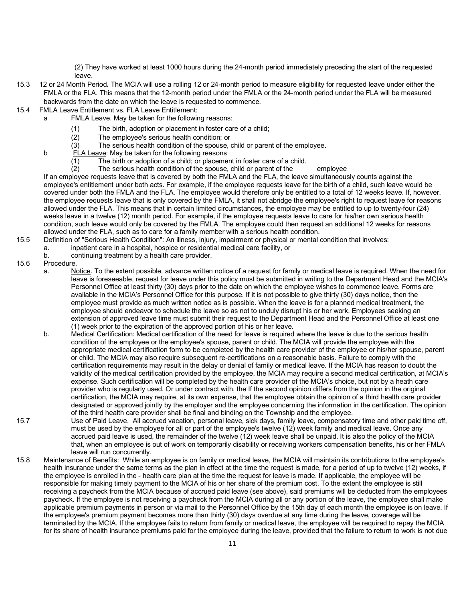(2) They have worked at least 1000 hours during the 24-month period immediately preceding the start of the requested leave.

- 15.3 12 or 24 Month Period**.** The MCIA will use a rolling 12 or 24-month period to measure eligibility for requested leave under either the FMLA or the FLA. This means that the 12-month period under the FMLA or the 24-month period under the FLA will be measured backwards from the date on which the leave is requested to commence.
- 15.4FMLA Leave Entitlement vs. FLA Leave Entitlement:
	- a FMLA Leave. May be taken for the following reasons:
		- (1) The birth, adoption or placement in foster care of a child;
		- (2) The employee's serious health condition; or
		- (3) The serious health condition of the spouse, child or parent of the employee.
		- b FLA Leave: May be taken for the following reasons
			- (1) The birth or adoption of a child; or placement in foster care of a child.<br>(2) The serious health condition of the spouse, child or parent of the
				- The serious health condition of the spouse, child or parent of the employee

If an employee requests leave that is covered by both the FMLA and the FLA, the leave simultaneously counts against the employee's entitlement under both acts. For example, if the employee requests leave for the birth of a child, such leave would be covered under both the FMLA and the FLA. The employee would therefore only be entitled to a total of 12 weeks leave. If, however, the employee requests leave that is only covered by the FMLA, it shall not abridge the employee's right to request leave for reasons allowed under the FLA. This means that in certain limited circumstances, the employee may be entitled to up to twenty-four (24) weeks leave in a twelve (12) month period. For example, if the employee requests leave to care for his/her own serious health condition, such leave would only be covered by the FMLA. The employee could then request an additional 12 weeks for reasons allowed under the FLA, such as to care for a family member with a serious health condition.

- 15.5 Definition of "Serious Health Condition": An illness, injury, impairment or physical or mental condition that involves:
	- a. inpatient care in a hospital, hospice or residential medical care facility, or
	- b. continuing treatment by a health care provider.

## 15.6 Procedure.

- a. Notice. To the extent possible, advance written notice of a request for family or medical leave is required. When the need for leave is foreseeable, request for leave under this policy must be submitted in writing to the Department Head and the MCIA's Personnel Office at least thirty (30) days prior to the date on which the employee wishes to commence leave. Forms are available in the MCIA's Personnel Office for this purpose. If it is not possible to give thirty (30) days notice, then the employee must provide as much written notice as is possible. When the leave is for a planned medical treatment, the employee should endeavor to schedule the leave so as not to unduly disrupt his or her work. Employees seeking an extension of approved leave time must submit their request to the Department Head and the Personnel Office at least one (1) week prior to the expiration of the approved portion of his or her leave.
- b. Medical Certification: Medical certification of the need for leave is required where the leave is due to the serious health condition of the employee or the employee's spouse, parent or child. The MCIA will provide the employee with the appropriate medical certification form to be completed by the health care provider of the employee or his/her spouse, parent or child. The MCIA may also require subsequent re-certifications on a reasonable basis. Failure to comply with the certification requirements may result in the delay or denial of family or medical leave. If the MCIA has reason to doubt the validity of the medical certification provided by the employee, the MCIA may require a second medical certification, at MCIA's expense. Such certification will be completed by the health care provider of the MCIA's choice, but not by a heath care provider who is regularly used. Or under contract with, the If the second opinion differs from the opinion in the original certification, the MCIA may require, at its own expense, that the employee obtain the opinion of a third health care provider designated or approved jointly by the employer and the employee concerning the information in the certification. The opinion of the third health care provider shall be final and binding on the Township and the employee.
- 15.7 Use of Paid Leave. All accrued vacation, personal leave, sick days, family leave, compensatory time and other paid time off, must be used by the employee for all or part of the employee's twelve (12) week family and medical leave. Once any accrued paid leave is used, the remainder of the twelve (12) week leave shall be unpaid. It is also the policy of the MCIA that, when an employee is out of work on temporarily disability or receiving workers compensation benefits, his or her FMLA leave will run concurrently.
- 15.8 Maintenance of Benefits: While an employee is on family or medical leave, the MCIA will maintain its contributions to the employee's health insurance under the same terms as the plan in effect at the time the request is made, for a period of up to twelve (12) weeks, if the employee is enrolled in the - health care plan at the time the request for leave is made. If applicable, the employee will be responsible for making timely payment to the MCIA of his or her share of the premium cost. To the extent the employee is still receiving a paycheck from the MCIA because of accrued paid leave (see above), said premiums will be deducted from the employees paycheck. If the employee is not receiving a paycheck from the MCIA during all or any portion of the leave, the employee shall make applicable premium payments in person or via mail to the Personnel Office by the 15th day of each month the employee is on leave. If the employee's premium payment becomes more than thirty (30) days overdue at any time during the leave, coverage will be terminated by the MCIA. If the employee fails to return from family or medical leave, the employee will be required to repay the MCIA for its share of health insurance premiums paid for the employee during the leave, provided that the failure to return to work is not due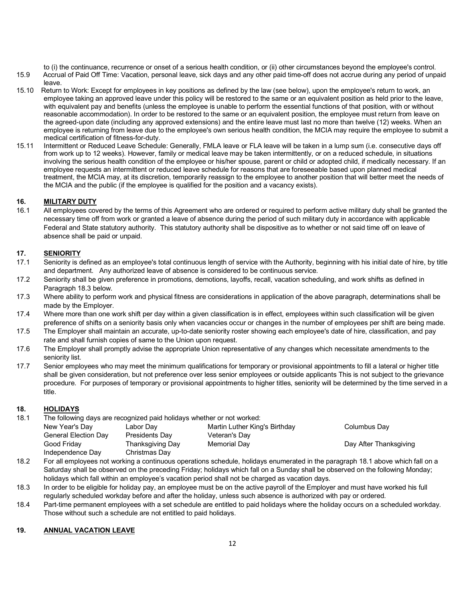to (i) the continuance, recurrence or onset of a serious health condition, or (ii) other circumstances beyond the employee's control.

- 15.9 Accrual of Paid Off Time: Vacation, personal leave, sick days and any other paid time-off does not accrue during any period of unpaid leave.
- 15.10 Return to Work: Except for employees in key positions as defined by the law (see below), upon the employee's return to work, an employee taking an approved leave under this policy will be restored to the same or an equivalent position as held prior to the leave, with equivalent pay and benefits (unless the employee is unable to perform the essential functions of that position, with or without reasonable accommodation). In order to be restored to the same or an equivalent position, the employee must return from leave on the agreed-upon date (including any approved extensions) and the entire leave must last no more than twelve (12) weeks. When an employee is returning from leave due to the employee's own serious health condition, the MCIA may require the employee to submit a medical certification of fitness-for-duty.
- 15.11 Intermittent or Reduced Leave Schedule: Generally, FMLA leave or FLA leave will be taken in a lump sum (i.e. consecutive days off from work up to 12 weeks). However, family or medical leave may be taken intermittently, or on a reduced schedule, in situations involving the serious health condition of the employee or his/her spouse, parent or child or adopted child, if medically necessary. If an employee requests an intermittent or reduced leave schedule for reasons that are foreseeable based upon planned medical treatment, the MCIA may, at its discretion, temporarily reassign to the employee to another position that will better meet the needs of the MCIA and the public (if the employee is qualified for the position and a vacancy exists).

## **16. MILITARY DUTY**

16.1 All employees covered by the terms of this Agreement who are ordered or required to perform active military duty shall be granted the necessary time off from work or granted a leave of absence during the period of such military duty in accordance with applicable Federal and State statutory authority. This statutory authority shall be dispositive as to whether or not said time off on leave of absence shall be paid or unpaid.

## **17. SENIORITY**

- 17.1 Seniority is defined as an employee's total continuous length of service with the Authority, beginning with his initial date of hire, by title and department. Any authorized leave of absence is considered to be continuous service.
- 17.2 Seniority shall be given preference in promotions, demotions, layoffs, recall, vacation scheduling, and work shifts as defined in Paragraph 18.3 below.
- 17.3 Where ability to perform work and physical fitness are considerations in application of the above paragraph, determinations shall be made by the Employer.
- 17.4 Where more than one work shift per day within a given classification is in effect, employees within such classification will be given preference of shifts on a seniority basis only when vacancies occur or changes in the number of employees per shift are being made.
- 17.5 The Employer shall maintain an accurate, up-to-date seniority roster showing each employee's date of hire, classification, and pay rate and shall furnish copies of same to the Union upon request.
- 17.6 The Employer shall promptly advise the appropriate Union representative of any changes which necessitate amendments to the seniority list.
- 17.7 Senior employees who may meet the minimum qualifications for temporary or provisional appointments to fill a lateral or higher title shall be given consideration, but not preference over less senior employees or outside applicants This is not subject to the grievance procedure. For purposes of temporary or provisional appointments to higher titles, seniority will be determined by the time served in a title.

## **18. HOLIDAYS**

18.1 The following days are recognized paid holidays whether or not worked:

| New Year's Day              | Labor Day             | Martin Luther King's Birthday | Columbus Day           |
|-----------------------------|-----------------------|-------------------------------|------------------------|
| <b>General Election Day</b> | <b>Presidents Day</b> | Veteran's Day                 |                        |
| Good Fridav                 | Thanksgiving Day      | Memorial Day                  | Day After Thanksgiving |
| Independence Day            | Christmas Day         |                               |                        |

- 18.2 For all employees not working a continuous operations schedule, holidays enumerated in the paragraph 18.1 above which fall on a Saturday shall be observed on the preceding Friday; holidays which fall on a Sunday shall be observed on the following Monday; holidays which fall within an employee's vacation period shall not be charged as vacation days.
- 18.3 In order to be eligible for holiday pay, an employee must be on the active payroll of the Employer and must have worked his full regularly scheduled workday before and after the holiday, unless such absence is authorized with pay or ordered.
- 18.4 Part-time permanent employees with a set schedule are entitled to paid holidays where the holiday occurs on a scheduled workday. Those without such a schedule are not entitled to paid holidays.

## **19. ANNUAL VACATION LEAVE**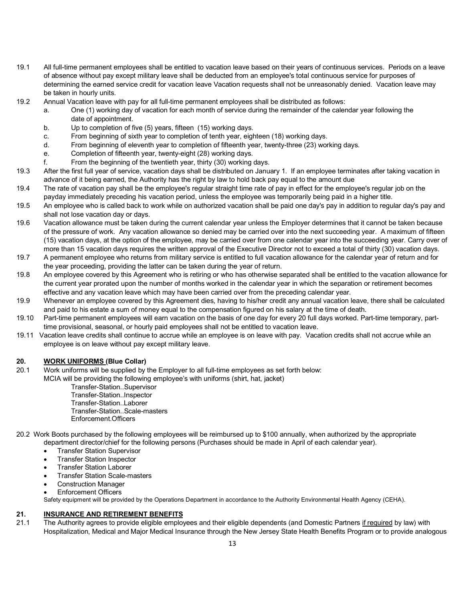- 19.1 All full-time permanent employees shall be entitled to vacation leave based on their years of continuous services. Periods on a leave of absence without pay except military leave shall be deducted from an employee's total continuous service for purposes of determining the earned service credit for vacation leave Vacation requests shall not be unreasonably denied. Vacation leave may be taken in hourly units.
- 19.2 Annual Vacation leave with pay for all full-time permanent employees shall be distributed as follows:
	- a. One (1) working day of vacation for each month of service during the remainder of the calendar year following the date of appointment.
	- b. Up to completion of five (5) years, fifteen (15) working days.
	- c. From beginning of sixth year to completion of tenth year, eighteen (18) working days.
	- d. From beginning of eleventh year to completion of fifteenth year, twenty-three (23) working days.
	- e. Completion of fifteenth year, twenty-eight (28) working days.
	- f. From the beginning of the twentieth year, thirty (30) working days.
- 19.3 After the first full year of service, vacation days shall be distributed on January 1. If an employee terminates after taking vacation in advance of it being earned, the Authority has the right by law to hold back pay equal to the amount due
- 19.4 The rate of vacation pay shall be the employee's regular straight time rate of pay in effect for the employee's regular job on the payday immediately preceding his vacation period, unless the employee was temporarily being paid in a higher title.
- 19.5 An employee who is called back to work while on authorized vacation shall be paid one day's pay in addition to regular day's pay and shall not lose vacation day or days.
- 19.6 Vacation allowance must be taken during the current calendar year unless the Employer determines that it cannot be taken because of the pressure of work. Any vacation allowance so denied may be carried over into the next succeeding year. A maximum of fifteen (15) vacation days, at the option of the employee, may be carried over from one calendar year into the succeeding year. Carry over of more than 15 vacation days requires the written approval of the Executive Director not to exceed a total of thirty (30) vacation days.
- 19.7 A permanent employee who returns from military service is entitled to full vacation allowance for the calendar year of return and for the year proceeding, providing the latter can be taken during the year of return.
- 19.8 An employee covered by this Agreement who is retiring or who has otherwise separated shall be entitled to the vacation allowance for the current year prorated upon the number of months worked in the calendar year in which the separation or retirement becomes effective and any vacation leave which may have been carried over from the preceding calendar year.
- 19.9 Whenever an employee covered by this Agreement dies, having to his/her credit any annual vacation leave, there shall be calculated and paid to his estate a sum of money equal to the compensation figured on his salary at the time of death.
- 19.10 Part-time permanent employees will earn vacation on the basis of one day for every 20 full days worked. Part-time temporary, parttime provisional, seasonal, or hourly paid employees shall not be entitled to vacation leave.
- 19.11 Vacation leave credits shall continue to accrue while an employee is on leave with pay. Vacation credits shall not accrue while an employee is on leave without pay except military leave.

#### **20. WORK UNIFORMS (Blue Collar)**

- 20.1 Work uniforms will be supplied by the Employer to all full-time employees as set forth below:
- MCIA will be providing the following employee's with uniforms (shirt, hat, jacket)

Transfer-Station..Supervisor Transfer-Station..Inspector Transfer-Station..Laborer Transfer-Station..Scale-masters Enforcement.Officers

- 20.2 Work Boots purchased by the following employees will be reimbursed up to \$100 annually, when authorized by the appropriate department director/chief for the following persons (Purchases should be made in April of each calendar year).
	- Transfer Station Supervisor
	- Transfer Station Inspector
	- Transfer Station Laborer
	- Transfer Station Scale-masters
	- Construction Manager
	- Enforcement Officers

Safety equipment will be provided by the Operations Department in accordance to the Authority Environmental Health Agency (CEHA).

#### **21. INSURANCE AND RETIREMENT BENEFITS**

21.1 The Authority agrees to provide eligible employees and their eligible dependents (and Domestic Partners if required by law) with Hospitalization, Medical and Major Medical Insurance through the New Jersey State Health Benefits Program or to provide analogous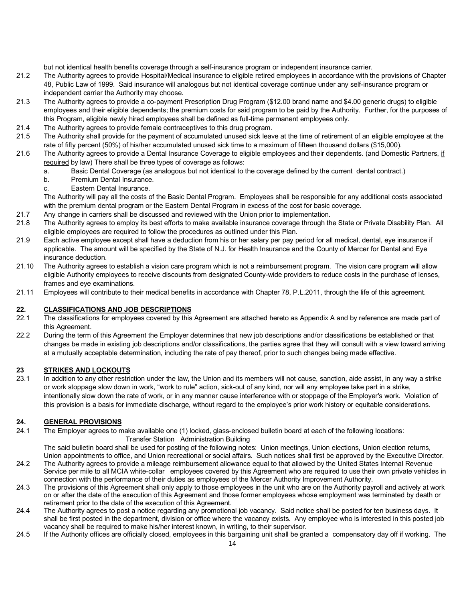but not identical health benefits coverage through a self-insurance program or independent insurance carrier.

- 21.2 The Authority agrees to provide Hospital/Medical insurance to eligible retired employees in accordance with the provisions of Chapter 48, Public Law of 1999. Said insurance will analogous but not identical coverage continue under any self-insurance program or independent carrier the Authority may choose.
- 21.3 The Authority agrees to provide a co-payment Prescription Drug Program (\$12.00 brand name and \$4.00 generic drugs) to eligible employees and their eligible dependents; the premium costs for said program to be paid by the Authority. Further, for the purposes of this Program, eligible newly hired employees shall be defined as full-time permanent employees only.
- 21.4 The Authority agrees to provide female contraceptives to this drug program.
- 21.5 The Authority shall provide for the payment of accumulated unused sick leave at the time of retirement of an eligible employee at the rate of fifty percent (50%) of his/her accumulated unused sick time to a maximum of fifteen thousand dollars (\$15,000).
- 21.6 The Authority agrees to provide a Dental Insurance Coverage to eligible employees and their dependents. (and Domestic Partners, if required by law) There shall be three types of coverage as follows:
	- a. Basic Dental Coverage (as analogous but not identical to the coverage defined by the current dental contract.)
	- b. Premium Dental Insurance.
	- c. Eastern Dental Insurance.

The Authority will pay all the costs of the Basic Dental Program. Employees shall be responsible for any additional costs associated with the premium dental program or the Eastern Dental Program in excess of the cost for basic coverage.

- 21.7 Any change in carriers shall be discussed and reviewed with the Union prior to implementation.
- 21.8 The Authority agrees to employ its best efforts to make available insurance coverage through the State or Private Disability Plan. All eligible employees are required to follow the procedures as outlined under this Plan.
- 21.9 Each active employee except shall have a deduction from his or her salary per pay period for all medical, dental, eye insurance if applicable. The amount will be specified by the State of N.J. for Health Insurance and the County of Mercer for Dental and Eye insurance deduction.
- 21.10 The Authority agrees to establish a vision care program which is not a reimbursement program. The vision care program will allow eligible Authority employees to receive discounts from designated County-wide providers to reduce costs in the purchase of lenses, frames and eye examinations.
- 21.11 Employees will contribute to their medical benefits in accordance with Chapter 78, P.L.2011, through the life of this agreement.

#### **22. CLASSIFICATIONS AND JOB DESCRIPTIONS**

- 22.1 The classifications for employees covered by this Agreement are attached hereto as Appendix A and by reference are made part of this Agreement.
- 22.2 During the term of this Agreement the Employer determines that new job descriptions and/or classifications be established or that changes be made in existing job descriptions and/or classifications, the parties agree that they will consult with a view toward arriving at a mutually acceptable determination, including the rate of pay thereof, prior to such changes being made effective.

#### **23 STRIKES AND LOCKOUTS**

23.1 In addition to any other restriction under the law, the Union and its members will not cause, sanction, aide assist, in any way a strike or work stoppage slow down in work, "work to rule" action, sick-out of any kind, nor will any employee take part in a strike, intentionally slow down the rate of work, or in any manner cause interference with or stoppage of the Employer's work. Violation of this provision is a basis for immediate discharge, without regard to the employee's prior work history or equitable considerations.

#### **24. GENERAL PROVISIONS**

24.1 The Employer agrees to make available one (1) locked, glass-enclosed bulletin board at each of the following locations: Transfer Station Administration Building

The said bulletin board shall be used for posting of the following notes: Union meetings, Union elections, Union election returns, Union appointments to office, and Union recreational or social affairs. Such notices shall first be approved by the Executive Director. 24.2 The Authority agrees to provide a mileage reimbursement allowance equal to that allowed by the United States Internal Revenue Service per mile to all MCIA white-collar employees covered by this Agreement who are required to use their own private vehicles in connection with the performance of their duties as employees of the Mercer Authority Improvement Authority.

- 24.3 The provisions of this Agreement shall only apply to those employees in the unit who are on the Authority payroll and actively at work on or after the date of the execution of this Agreement and those former employees whose employment was terminated by death or retirement prior to the date of the execution of this Agreement.
- 24.4 The Authority agrees to post a notice regarding any promotional job vacancy. Said notice shall be posted for ten business days. It shall be first posted in the department, division or office where the vacancy exists. Any employee who is interested in this posted job vacancy shall be required to make his/her interest known, in writing, to their supervisor.
- 24.5 If the Authority offices are officially closed, employees in this bargaining unit shall be granted a compensatory day off if working. The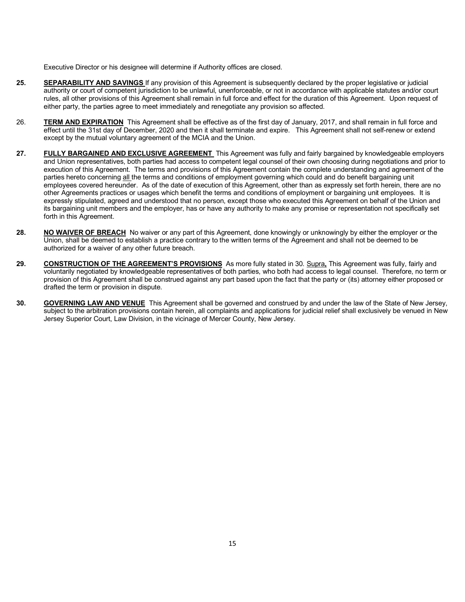Executive Director or his designee will determine if Authority offices are closed.

- **25. SEPARABILITY AND SAVINGS** If any provision of this Agreement is subsequently declared by the proper legislative or judicial authority or court of competent jurisdiction to be unlawful, unenforceable, or not in accordance with applicable statutes and/or court rules, all other provisions of this Agreement shall remain in full force and effect for the duration of this Agreement. Upon request of either party, the parties agree to meet immediately and renegotiate any provision so affected.
- 26. **TERM AND EXPIRATION** This Agreement shall be effective as of the first day of January, 2017, and shall remain in full force and effect until the 31st day of December, 2020 and then it shall terminate and expire. This Agreement shall not self-renew or extend except by the mutual voluntary agreement of the MCIA and the Union.
- 27. **FULLY BARGAINED AND EXCLUSIVE AGREEMENT** This Agreement was fully and fairly bargained by knowledgeable employers and Union representatives, both parties had access to competent legal counsel of their own choosing during negotiations and prior to execution of this Agreement. The terms and provisions of this Agreement contain the complete understanding and agreement of the parties hereto concerning all the terms and conditions of employment governing which could and do benefit bargaining unit employees covered hereunder. As of the date of execution of this Agreement, other than as expressly set forth herein, there are no other Agreements practices or usages which benefit the terms and conditions of employment or bargaining unit employees. It is expressly stipulated, agreed and understood that no person, except those who executed this Agreement on behalf of the Union and its bargaining unit members and the employer, has or have any authority to make any promise or representation not specifically set forth in this Agreement.
- **28.** NO WAIVER OF BREACH No waiver or any part of this Agreement, done knowingly or unknowingly by either the employer or the Union, shall be deemed to establish a practice contrary to the written terms of the Agreement and shall not be deemed to be authorized for a waiver of any other future breach.
- **29. CONSTRUCTION OF THE AGREEMENT'S PROVISIONS** As more fully stated in 30. Supra**,** This Agreement was fully, fairly and voluntarily negotiated by knowledgeable representatives of both parties, who both had access to legal counsel. Therefore, no term or provision of this Agreement shall be construed against any part based upon the fact that the party or (its) attorney either proposed or drafted the term or provision in dispute.
- **30. GOVERNING LAW AND VENUE** This Agreement shall be governed and construed by and under the law of the State of New Jersey, subject to the arbitration provisions contain herein, all complaints and applications for judicial relief shall exclusively be venued in New Jersey Superior Court, Law Division, in the vicinage of Mercer County, New Jersey.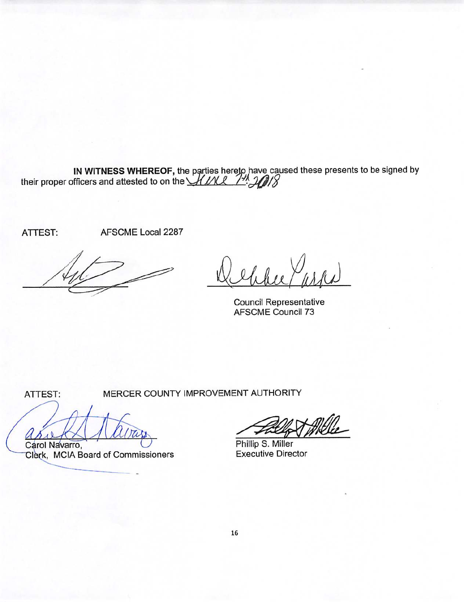IN WITNESS WHEREOF, the parties hereto have caused these presents to be signed by their proper officers and attested to on the  $MML$   $M$ 

ATTEST:

AFSCME Local 2287

**Council Representative** AFSCME Council 73

ATTEST:

MERCER COUNTY IMPROVEMENT AUTHORITY

Carol Navarro,

Clerk, MCIA Board of Commissioners

Phillip S. Miller Executive Director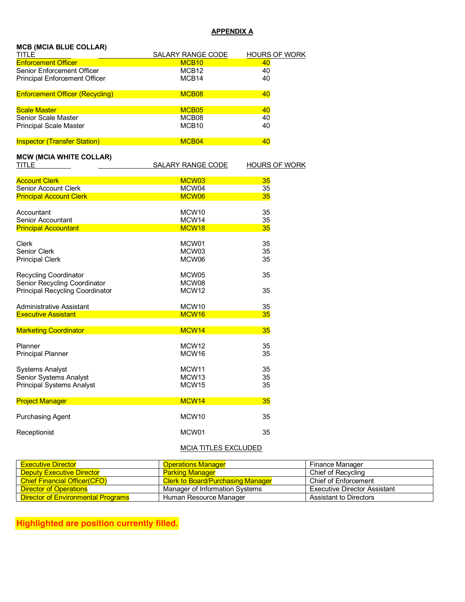# **APPENDIX A**

| <b>MCB (MCIA BLUE COLLAR)</b>          |                                               |                            |
|----------------------------------------|-----------------------------------------------|----------------------------|
| TITLE<br><b>Enforcement Officer</b>    | <b>SALARY RANGE CODE</b><br>MCB <sub>10</sub> | <b>HOURS OF WORK</b><br>40 |
| Senior Enforcement Officer             | MCB <sub>12</sub>                             | 40                         |
| <b>Principal Enforcement Officer</b>   | MCB14                                         | 40                         |
| <b>Enforcement Officer (Recycling)</b> | MCB08                                         | 40                         |
| <b>Scale Master</b>                    | MCB <sub>05</sub>                             | 40                         |
| Senior Scale Master                    | MCB08                                         | 40                         |
| <b>Principal Scale Master</b>          | MCB <sub>10</sub>                             | 40                         |
| <b>Inspector (Transfer Station)</b>    | MCB <sub>04</sub>                             | 40                         |
| <b>MCW (MCIA WHITE COLLAR)</b>         |                                               |                            |
| TITLE                                  | <b>SALARY RANGE CODE</b>                      | <b>HOURS OF WORK</b>       |
| <b>Account Clerk</b>                   | MCW03                                         | 35                         |
| <b>Senior Account Clerk</b>            | MCW04                                         | 35                         |
| <b>Principal Account Clerk</b>         | MCW06                                         | 35                         |
| Accountant                             | MCW <sub>10</sub>                             | 35                         |
| Senior Accountant                      | MCW14                                         | 35                         |
| <b>Principal Accountant</b>            | MCW <sub>18</sub>                             | 35                         |
| Clerk                                  | MCW01                                         | 35                         |
| Senior Clerk                           | MCW03                                         | 35                         |
| <b>Principal Clerk</b>                 | MCW06                                         | 35                         |
| <b>Recycling Coordinator</b>           | MCW05                                         | 35                         |
| Senior Recycling Coordinator           | MCW08                                         |                            |
| <b>Principal Recycling Coordinator</b> | MCW <sub>12</sub>                             | 35                         |
| <b>Administrative Assistant</b>        | MCW <sub>10</sub>                             | 35                         |
| <b>Executive Assistant</b>             | MCW <sub>16</sub>                             | 35                         |
| <b>Marketing Coordinator</b>           | MCW14                                         | 35                         |
| Planner                                | MCW <sub>12</sub>                             | 35                         |
| <b>Principal Planner</b>               | MCW <sub>16</sub>                             | 35                         |
| <b>Systems Analyst</b>                 | MCW11                                         | 35                         |
| Senior Systems Analyst                 | MCW <sub>13</sub>                             | 35                         |
| <b>Principal Systems Analyst</b>       | MCW15                                         | 35                         |
| <b>Project Manager</b>                 | MCW14                                         | 35                         |
| <b>Purchasing Agent</b>                | MCW10                                         | 35                         |
| Receptionist                           | MCW01                                         | 35                         |
|                                        |                                               |                            |

# MCIA TITLES EXCLUDED

| <u>Executive Director</u>                 | <b>Operations Manager</b>                | Finance Manager                     |
|-------------------------------------------|------------------------------------------|-------------------------------------|
| <b>Deputy Executive Director</b>          | <b>Parking Manager</b>                   | Chief of Recvcling                  |
| <b>Chief Financial Officer(CFO)</b>       | <b>Clerk to Board/Purchasing Manager</b> | Chief of Enforcement                |
| Director of Operations                    | Manager of Information Systems           | <b>Executive Director Assistant</b> |
| <b>Director of Environmental Programs</b> | Human Resource Manager                   | <b>Assistant to Directors</b>       |

**Highlighted are position currently filled.**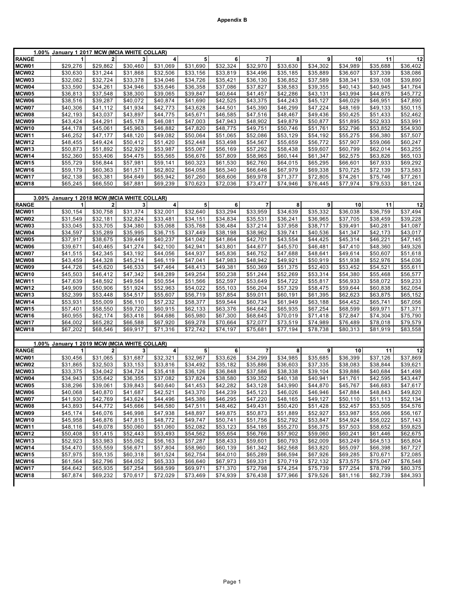|                   | 1.00% January 1 2017 MCW (MCIA WHITE COLLAR) |                |          |                         |                 |          |                |          |                      |          |          |                      |
|-------------------|----------------------------------------------|----------------|----------|-------------------------|-----------------|----------|----------------|----------|----------------------|----------|----------|----------------------|
| <b>RANGE</b>      | 1                                            | $\overline{a}$ | 3        | 4                       | 5               | 6        | $\overline{7}$ | 8        | 9                    | 10       | 11       | 12                   |
| MCW01             | \$29,276                                     | \$29,862       | \$30,460 | \$31,069                | \$31,690        | \$32,324 | \$32,970       | \$33,630 | \$34,302             | \$34,989 | \$35,688 | \$36,402             |
| MCW02             | \$30,630                                     | \$31,244       | \$31,868 | \$32,506                | \$33,156        | \$33,819 | \$34,496       | \$35,185 | \$35,889             | \$36,607 | \$37,339 | \$38,086             |
| MCW03             | \$32,082                                     | \$32,724       | \$33,378 | \$34,046                | \$34,726        | \$35,421 | \$36,130       | \$36,852 | \$37,589             | \$38,341 | \$39,108 | \$39,890             |
| MCW04             | \$33,590                                     | \$34,261       | \$34,946 | \$35,646                | \$36,358        | \$37,086 | \$37,827       | \$38,583 | \$39,355             | \$40,143 | \$40,945 | \$41,764             |
|                   |                                              | \$37,548       | \$38,300 | \$39,065                | \$39,847        | \$40,644 | \$41,457       | \$42,286 |                      | \$43.994 | \$44,875 | \$45.772             |
| MCW05             | \$36,813                                     |                |          |                         |                 |          |                | \$44.243 | \$43,131             |          |          |                      |
| MCW06             | \$38,516                                     | \$39,287       | \$40.072 | \$40,874                | \$41,690        | \$42,525 | \$43,375       |          | \$45,127             | \$46,029 | \$46,951 | \$47,890             |
| MCW07             | \$40,306                                     | \$41,112       | \$41,934 | $\overline{$}42,773$    | \$43,628        | \$44,501 | \$45,390       | \$46,299 | \$47,224             | \$48,169 | \$49,133 | \$50,115             |
| MCW08             | \$42,193                                     | \$43,037       | \$43,897 | \$44,775                | \$45,671        | \$46,585 | \$47,516       | \$48,467 | \$49,436             | \$50,425 | \$51,433 | \$52,462             |
| MCW09             | \$43,424                                     | \$44,291       | \$45,178 | \$46,081                | \$47,003        | \$47,943 | \$48,902       | \$49,879 | \$50,877             | \$51,895 | \$52,933 | \$53,991             |
| MCW10             | \$44,178                                     | \$45,061       | \$45,963 | \$46,882                | \$47,820        | \$48,775 | \$49,751       | \$50,746 | \$51,761             | \$52,796 | \$53,852 | \$54,930             |
| <b>MCW11</b>      | \$46,252                                     | \$47,177       | \$48,120 | \$49.082                | \$50,064        | \$51,065 | \$52,086       | \$53,129 | \$54,192             | \$55,275 | \$56,380 | \$57,507             |
| MCW12             | \$48,455                                     | \$49,424       | \$50,412 | \$51,420                | \$52,448        | \$53,498 | \$54,567       | \$55,659 | \$56,772             | \$57,907 | \$59,066 | \$60,247             |
| MCW13             | \$50,873                                     | \$51,892       | \$52,929 | \$53,987                | \$55,067        | \$56,169 | \$57,292       | \$58,438 | \$59,607             | \$60,799 | \$62,014 | \$63,255             |
| MCW14             | \$52,360                                     | \$53,406       | \$54,475 | \$55,565                | \$56,676        | \$57,809 | \$58,965       | \$60,144 | \$61,347             | \$62,575 | \$63,826 | \$65,103             |
| <b>MCW15</b>      | \$55,729                                     | \$56,844       | \$57,981 | \$59,141                | \$60,323        | \$61,530 | \$62,760       | \$64,015 | \$65,295             | \$66,601 | \$67,933 | \$69,292             |
| MCW16             | \$59,179                                     | \$60,363       | \$61,571 | \$62,802                | \$64,058        | \$65,340 | \$66,646       | \$67,979 | \$69,338             | \$70,725 | \$72,139 | \$73,583             |
| MCW17             | \$62,138                                     | \$63,381       | \$64,649 | \$65,942                | \$67,260        | \$68,606 | \$69,978       | \$71,377 | \$72,805             | \$74,261 | \$75,746 | \$77,261             |
| MCW18             | \$65,245                                     | \$66,550       | \$67,881 | \$69,239                | \$70,623        | \$72,036 | \$73,477       | \$74,946 | \$76,445             | \$77,974 | \$79,533 | \$81,124             |
|                   |                                              |                |          |                         |                 |          |                |          |                      |          |          |                      |
|                   | 3.00% January 1 2018 MCW (MCIA WHITE COLLAR) |                |          |                         |                 |          |                |          |                      |          |          |                      |
| <b>RANGE</b>      | 1                                            | $\mathbf{2}$   | 3        | $\overline{\mathbf{4}}$ | 5               | 6        | $\overline{7}$ | 8        | 9                    | 10       | 11       | 12                   |
|                   |                                              | \$30,758       |          |                         | \$32,640        |          |                |          |                      | \$36,038 | \$36,759 |                      |
| MCW01<br>MCW02    | \$30,154                                     |                | \$31,374 | \$32,001<br>\$33,481    |                 | \$33,294 | \$33,959       | \$34,639 | \$35,332             | \$37,705 |          | \$37,494<br>\$39,228 |
|                   | \$31,549                                     | \$32,181       | \$32,824 |                         | \$34,151        | \$34,834 | \$35,531       | \$36,241 | \$36,965             |          | \$38,459 |                      |
| MCW03             | \$33,045                                     | \$33,705       | \$34,380 | \$35,068                | \$35,768        | \$36,484 | \$37,214       | \$37,958 | \$38,717             | \$39,491 | \$40,281 | \$41,087             |
| MCW04             | \$34,597                                     | \$35,289       | \$35,995 | \$36,715                | \$37,449        | \$38,198 | \$38,962       | \$39,741 | \$40,536             | \$41,347 | \$42,173 | \$43,017             |
| MCW05             | \$37,917                                     | \$38,675       | \$39,449 | \$40,237                | \$41,042        | \$41,864 | \$42,701       | \$43,554 | \$44,425             | \$45,314 | \$46,221 | \$47,145             |
| MCW06             | \$39,671                                     | \$40,465       | \$41,274 | \$42.100                | \$42,941        | \$43,801 | \$44,677       | \$45,570 | \$46,481             | \$47,410 | \$48,360 | \$49,326             |
| MCW07             | \$41,515                                     | \$42,345       | \$43,192 | \$44,056                | \$44,937        | \$45,836 | \$46,752       | \$47,688 | \$48,641             | \$49,614 | \$50,607 | \$51,618             |
| MCW08             | \$43,459                                     | \$44,328       | \$45,214 | \$46,119                | \$47,041        | \$47,983 | \$48,942       | \$49,921 | \$50,919             | \$51,938 | \$52,976 | \$54,036             |
| MCW09             | \$44.726                                     | \$45,620       | \$46,533 | \$47,464                | \$48,413        | \$49,381 | \$50,369       | \$51,375 | \$52,403             | \$53,452 | \$54,521 | \$55,611             |
| MCW10             | \$45,503                                     | \$46,412       | \$47,342 | \$48,289                | \$49,254        | \$50,238 | \$51,244       | \$52,269 | \$53,314             | \$54,380 | \$55,468 | \$56,577             |
| <b>MCW11</b>      | \$47,639                                     | \$48,592       | \$49,564 | \$50,554                | \$51,566        | \$52,597 | \$53,649       | \$54,722 | \$55,817             | \$56,933 | \$58,072 | \$59,233             |
| MCW12             | \$49,909                                     | \$50,906       | \$51,924 | \$52,963                | \$54,022        | \$55,103 | \$56,204       | \$57,329 | \$58,475             | \$59,644 | \$60,838 | \$62,054             |
| MCW <sub>13</sub> | \$52,399                                     | \$53,448       | \$54,517 | \$55,607                | \$56,719        | \$57,854 | \$59,011       | \$60,191 | \$61,395             | \$62,623 | \$63,875 | \$65,152             |
| MCW14             | \$53,931                                     | \$55,009       | \$56,110 | \$57,232                | \$58,377        | \$59,544 | \$60,734       | \$61,949 | \$63,188             | \$64,452 | \$65,741 | \$67,056             |
| <b>MCW15</b>      | \$57,401                                     | \$58,550       | \$59,720 | \$60,915                | \$62,133        | \$63,376 | \$64,642       | \$65,935 | \$67,254             | \$68,599 | \$69,971 | \$71,371             |
| MCW16             | \$60,955                                     | \$62,174       | \$63,418 | \$64,686                | \$65,980        | \$67,300 | \$68,645       | \$70,019 | \$71,418             | \$72,847 | \$74,304 | \$75,790             |
| MCW17             | \$64,002                                     | \$65,282       | \$66,588 | \$67,920                | \$69,278        | \$70,664 | \$72,077       | \$73,519 | \$74,989             | \$76,489 | \$78,018 | \$79,579             |
| MCW18             | \$67,202                                     | \$68,546       | \$69,917 | \$71,316                | \$72,742        | \$74,197 | \$75,681       | \$77,194 | \$78,738             | \$80,313 | \$81,919 | \$83,558             |
|                   |                                              |                |          |                         |                 |          |                |          |                      |          |          |                      |
|                   | 1.00% January 1 2019 MCW (MCIA WHITE COLLAR) |                |          |                         |                 |          |                |          |                      |          |          |                      |
| <b>RANGE</b>      | 1                                            | $\overline{2}$ | 3        | 4                       | 5               | 6        | $\overline{7}$ | 8        | 9                    | 10       | 11       | 12                   |
| MCW01             | \$30.456                                     | \$31,065       | \$31,687 | \$32,321                | \$32,967        | \$33,626 | \$34.299       | \$34,985 | \$35,685             | \$36,399 | \$37,126 | \$37,869             |
| MCW02             | \$31,865                                     | \$32,503       | \$33,153 | \$33,816                | \$34,492        | \$35,182 | \$35,886       | \$36,603 | \$37,335             | \$38,083 | \$38,844 | \$39,621             |
| MCW03             | \$33,375                                     | \$34,042       | \$34,724 | \$35,418                | \$36,126        | \$36,848 | \$37,586       | \$38,338 | \$39,104             | \$39,886 | \$40,684 | \$41,498             |
| MCW04             | \$34,943                                     | \$35,642       | \$36,355 | \$37,082                | \$37,824        | \$38,580 | \$39,352       | \$40,138 | \$40,941             | \$41,761 | \$42,595 | \$43,447             |
| MCW05             | \$38,296                                     | \$39,061       | \$39,843 | \$40,640                | \$41,453        | \$42,282 | \$43,128       | \$43,990 | \$44,870             | \$45,767 | \$46,683 | \$47,617             |
| MCW06             | \$40,068                                     | \$40,870       | \$41,687 | \$42,521                | $\sqrt{43,370}$ | \$44,239 | \$45,123       | \$46,026 | $\overline{$46,946}$ | \$47,884 | \$48,843 | \$49,820             |
| MCW07             | \$41,930                                     | \$42,769       | \$43,624 | \$44,496                | \$45,386        | \$46,295 | \$47,220       | \$48,165 | \$49,127             | \$50,110 | \$51,113 | \$52,134             |
| MCW08             | \$43,893                                     | \$44,772       | \$45,666 | \$46,580                | \$47,511        | \$48,462 | \$49,431       | \$50,420 | \$51,428             | \$52,457 | \$53,505 | \$54,576             |
| MCW09             | \$45,174                                     | \$46,076       | \$46,998 | \$47,938                | \$48,897        | \$49,875 | \$50,873       | \$51,889 | \$52,927             | \$53,987 | \$55,066 | \$56,167             |
| MCW10             | \$45,958                                     | \$46,876       | \$47,815 | \$48,772                | \$49,747        | \$50,741 | \$51,756       | \$52,792 | \$53,847             | \$54,924 | \$56,022 | \$57,143             |
| MCW11             | \$48,116                                     | \$49,078       | \$50,060 | \$51,060                | \$52,082        | \$53,123 | \$54,185       | \$55,270 | \$56,375             | \$57,503 | \$58,652 | \$59,825             |
| MCW12             | \$50,408                                     | \$51,415       | \$52,443 | \$53,493                | \$54,562        | \$55,654 | \$56,766       | \$57,902 | \$59,060             | \$60,241 | \$61,446 | \$62,675             |
| MCW13             | \$52,923                                     | \$53,983       | \$55,062 | \$56,163                | \$57,287        | \$58,433 | \$59,601       | \$60,793 | \$62,009             | \$63,249 | \$64,513 | \$65,804             |
| MCW14             | \$54,470                                     | \$55,559       | \$56,671 | \$57,804                | \$58,960        | \$60,139 | \$61,342       | \$62,568 | \$63,820             | \$65,097 | \$66,398 | \$67,727             |
|                   | \$57,975                                     |                |          |                         |                 | \$64,010 |                |          |                      |          |          |                      |
| <b>MCW15</b>      |                                              | \$59,135       | \$60,318 | \$61,524<br>\$65,333    | \$62,754        |          | \$65,289       | \$66,594 | \$67,926             | \$69,285 | \$70,671 | \$72,085             |
| MCW16             | \$61,564                                     | \$62,796       | \$64,052 |                         | \$66,640        | \$67,973 | \$69,331       | \$70,719 | \$72,132             | \$73,575 | \$75,047 | \$76,548             |
| MCW17             | \$64,642                                     | \$65,935       | \$67,254 | \$68,599                | \$69,971        | \$71,370 | \$72,798       | \$74,254 | \$75,739             | \$77,254 | \$78,799 | \$80,375             |
| MCW18             | \$67,874                                     | \$69,232       | \$70,617 | \$72,029                | \$73,469        | \$74,939 | \$76,438       | \$77,966 | \$79,526             | \$81,116 | \$82,739 | \$84,393             |
|                   |                                              |                |          |                         |                 |          |                |          |                      |          |          |                      |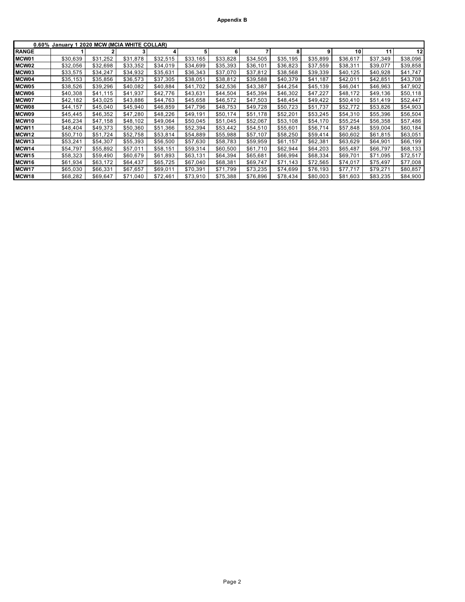| $0.60\%$          | January 1 2020 MCW (MCIA WHITE COLLAR) |          |          |          |          |          |          |          |          |          |          |          |
|-------------------|----------------------------------------|----------|----------|----------|----------|----------|----------|----------|----------|----------|----------|----------|
| <b>RANGE</b>      |                                        |          |          | 4        |          | 6        | 7        | 8        | 9        | 10       | 11       | 12       |
| MCW01             | \$30,639                               | \$31,252 | \$31,878 | \$32,515 | \$33,165 | \$33,828 | \$34,505 | \$35,195 | \$35,899 | \$36,617 | \$37,349 | \$38,096 |
| MCW02             | \$32,056                               | \$32,698 | \$33,352 | \$34,019 | \$34,699 | \$35,393 | \$36,101 | \$36,823 | \$37,559 | \$38,311 | \$39,077 | \$39,858 |
| MCW03             | \$33,575                               | \$34,247 | \$34,932 | \$35,631 | \$36,343 | \$37,070 | \$37,812 | \$38,568 | \$39,339 | \$40,125 | \$40,928 | \$41,747 |
| MCW04             | \$35,153                               | \$35.856 | \$36,573 | \$37,305 | \$38,051 | \$38,812 | \$39.588 | \$40.379 | \$41.187 | \$42,011 | \$42,851 | \$43,708 |
| MCW05             | \$38,526                               | \$39.296 | \$40.082 | \$40.884 | \$41,702 | \$42,536 | \$43.387 | \$44,254 | \$45,139 | \$46,041 | \$46,963 | \$47,902 |
| MCW06             | \$40,308                               | \$41.115 | \$41,937 | \$42.776 | \$43.631 | \$44.504 | \$45.394 | \$46,302 | \$47,227 | \$48,172 | \$49.136 | \$50,118 |
| MCW07             | \$42,182                               | \$43,025 | \$43,886 | \$44,763 | \$45,658 | \$46,572 | \$47,503 | \$48,454 | \$49,422 | \$50,410 | \$51,419 | \$52,447 |
| MCW08             | \$44,157                               | \$45.040 | \$45,940 | \$46,859 | \$47.796 | \$48,753 | \$49.728 | \$50.723 | \$51.737 | \$52.772 | \$53,826 | \$54,903 |
| MCW09             | \$45,445                               | \$46,352 | \$47,280 | \$48,226 | \$49,191 | \$50,174 | \$51,178 | \$52,201 | \$53,245 | \$54,310 | \$55,396 | \$56,504 |
| MCW10             | \$46,234                               | \$47,158 | \$48,102 | \$49,064 | \$50,045 | \$51,045 | \$52,067 | \$53,108 | \$54,170 | \$55,254 | \$56,358 | \$57,486 |
| MCW11             | \$48,404                               | \$49,373 | \$50,360 | \$51,366 | \$52,394 | \$53,442 | \$54,510 | \$55,601 | \$56,714 | \$57,848 | \$59,004 | \$60,184 |
| MCW12             | \$50,710                               | \$51,724 | \$52,758 | \$53,814 | \$54,889 | \$55,988 | \$57,107 | \$58,250 | \$59,414 | \$60,602 | \$61,815 | \$63,051 |
| MCW <sub>13</sub> | \$53,241                               | \$54.307 | \$55.393 | \$56,500 | \$57,630 | \$58,783 | \$59,959 | \$61.157 | \$62,381 | \$63,629 | \$64,901 | \$66,199 |
| MCW14             | \$54,797                               | \$55.892 | \$57.011 | \$58.151 | \$59,314 | \$60,500 | \$61.710 | \$62.944 | \$64,203 | \$65,487 | \$66,797 | \$68,133 |
| MCW15             | \$58,323                               | \$59.490 | \$60,679 | \$61.893 | \$63.131 | \$64,394 | \$65,681 | \$66,994 | \$68,334 | \$69.701 | \$71,095 | \$72,517 |
| MCW <sub>16</sub> | \$61,934                               | \$63.172 | \$64.437 | \$65,725 | \$67,040 | \$68,381 | \$69,747 | \$71,143 | \$72,565 | \$74,017 | \$75,497 | \$77.008 |
| MCW17             | \$65,030                               | \$66,331 | \$67,657 | \$69,011 | \$70,391 | \$71,799 | \$73,235 | \$74,699 | \$76,193 | \$77,717 | \$79,271 | \$80,857 |
| MCW18             | \$68,282                               | \$69,647 | \$71,040 | \$72.461 | \$73.910 | \$75,388 | \$76,896 | \$78,434 | \$80,003 | \$81,603 | \$83,235 | \$84,900 |